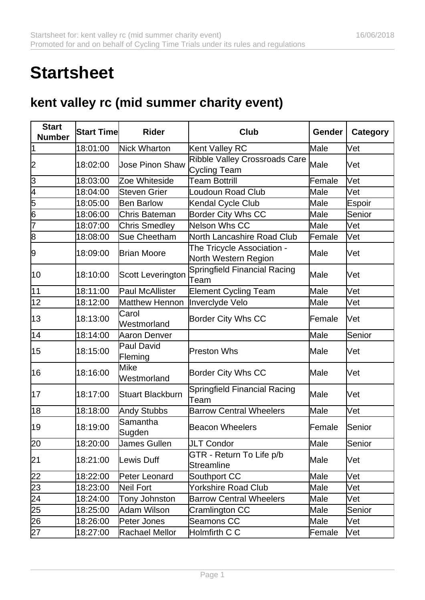## **Startsheet**

## **kent valley rc (mid summer charity event)**

| <b>Start</b><br><b>Number</b>                   | <b>Start Time</b> | <b>Rider</b>                 | <b>Club</b>                                          | <b>Gender</b> | <b>Category</b> |
|-------------------------------------------------|-------------------|------------------------------|------------------------------------------------------|---------------|-----------------|
| 1                                               | 18:01:00          | Nick Wharton                 | Kent Valley RC                                       | Male          | Vet             |
| 2                                               | 18:02:00          | Uose Pinon Shaw              | Ribble Valley Crossroads Care<br><b>Cycling Team</b> | Male          | Vet             |
| 3                                               | 18:03:00          | Zoe Whiteside                | <b>Team Bottrill</b>                                 | Female        | Vet             |
|                                                 | 18:04:00          | Steven Grier                 | Loudoun Road Club                                    | Male          | Vet             |
| $\frac{4}{5}$ $\frac{5}{6}$                     | 18:05:00          | <b>Ben Barlow</b>            | Kendal Cycle Club                                    | Male          | Espoir          |
|                                                 | 18:06:00          | Chris Bateman                | <b>Border City Whs CC</b>                            | Male          | Senior          |
| 7                                               | 18:07:00          | <b>Chris Smedley</b>         | Nelson Whs CC                                        | Male          | Vet             |
| $\overline{8}$                                  | 18:08:00          | Sue Cheetham                 | North Lancashire Road Club                           | Female        | Vet             |
| 9                                               | 18:09:00          | <b>Brian Moore</b>           | The Tricycle Association -<br>North Western Region   | Male          | Vet             |
| 10                                              | 18:10:00          | <b>Scott Leverington</b>     | Springfield Financial Racing<br>Team                 | Male          | Vet             |
| 11                                              | 18:11:00          | <b>Paul McAllister</b>       | <b>Element Cycling Team</b>                          | Male          | Vet             |
| 12                                              | 18:12:00          | <b>Matthew Hennon</b>        | Inverclyde Velo                                      | Male          | Vet             |
| 13                                              | 18:13:00          | Carol<br>Westmorland         | <b>Border City Whs CC</b>                            | Female        | Vet             |
| 14                                              | 18:14:00          | Aaron Denver                 |                                                      | Male          | Senior          |
| 15                                              | 18:15:00          | <b>Paul David</b><br>Fleming | <b>Preston Whs</b>                                   | Male          | Vet             |
| 16                                              | 18:16:00          | Mike<br>Westmorland          | <b>Border City Whs CC</b>                            | Male          | Vet             |
| 17                                              | 18:17:00          | <b>Stuart Blackburn</b>      | Springfield Financial Racing<br>Team                 | Male          | Vet             |
| 18                                              | 18:18:00          | Andy Stubbs                  | <b>Barrow Central Wheelers</b>                       | Male          | Vet             |
| 19                                              | 18:19:00          | Samantha<br>Sugden           | <b>Beacon Wheelers</b>                               | Female        | Senior          |
| $\overline{20}$                                 | 18:20:00          | James Gullen                 | JLT Condor                                           | Male          | Senior          |
| 21                                              | 18:21:00          | Lewis Duff                   | GTR - Return To Life p/b<br>Streamline               | Male          | Vet             |
|                                                 | 18:22:00          | Peter Leonard                | Southport CC                                         | Male          | Vet             |
|                                                 | 18:23:00          | Neil Fort                    | Yorkshire Road Club                                  | Male          | Vet             |
|                                                 | 18:24:00          | <b>Tony Johnston</b>         | <b>Barrow Central Wheelers</b>                       | Male          | Vet             |
|                                                 | 18:25:00          | Adam Wilson                  | Cramlington CC                                       | Male          | Senior          |
| $\frac{22}{23}$ $\frac{23}{25}$ $\frac{25}{26}$ | 18:26:00          | Peter Jones                  | Seamons CC                                           | Male          | Vet             |
| $\overline{27}$                                 | 18:27:00          | Rachael Mellor               | Holmfirth C C                                        | Female        | Vet             |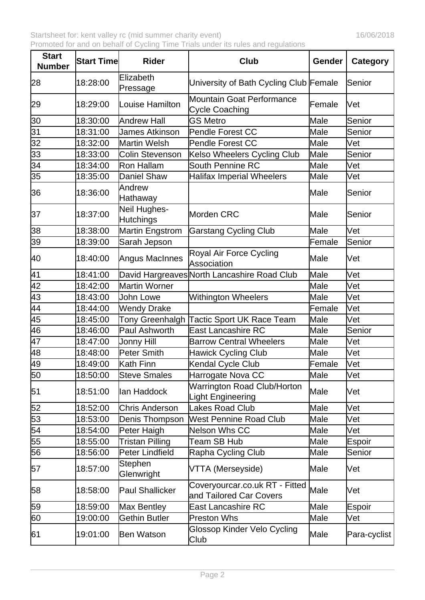| <b>Start</b><br><b>Number</b> | <b>Start Time</b> | <b>Rider</b>                     | Club                                                      | Gender | <b>Category</b> |
|-------------------------------|-------------------|----------------------------------|-----------------------------------------------------------|--------|-----------------|
| 28                            | 18:28:00          | Elizabeth<br>Pressage            | University of Bath Cycling Club Female                    |        | Senior          |
| 29                            | 18:29:00          | Louise Hamilton                  | <b>Mountain Goat Performance</b><br><b>Cycle Coaching</b> | Female | Vet             |
| 30                            | 18:30:00          | Andrew Hall                      | <b>GS Metro</b>                                           | Male   | Senior          |
| 31                            | 18:31:00          | <b>James Atkinson</b>            | Pendle Forest CC                                          | Male   | Senior          |
| $\overline{32}$               | 18:32:00          | Martin Welsh                     | <b>Pendle Forest CC</b>                                   | Male   | Vet             |
| 33                            | 18:33:00          | Colin Stevenson                  | Kelso Wheelers Cycling Club                               | Male   | Senior          |
| $\overline{34}$               | 18:34:00          | Ron Hallam                       | <b>South Pennine RC</b>                                   | Male   | Vet             |
| 35                            | 18:35:00          | <b>Daniel Shaw</b>               | <b>Halifax Imperial Wheelers</b>                          | Male   | Vet             |
| 36                            | 18:36:00          | Andrew<br>Hathaway               |                                                           | Male   | Senior          |
| 37                            | 18:37:00          | Neil Hughes-<br><b>Hutchings</b> | Morden CRC                                                | Male   | Senior          |
| 38                            | 18:38:00          | Martin Engstrom                  | <b>Garstang Cycling Club</b>                              | Male   | lVet            |
| 39                            | 18:39:00          | Sarah Jepson                     |                                                           | Female | Senior          |
| 40                            | 18:40:00          | Angus MacInnes                   | Royal Air Force Cycling<br><b>Association</b>             | Male   | Vet             |
| 41                            | 18:41:00          |                                  | David Hargreaves North Lancashire Road Club               | Male   | Vet             |
| $\overline{42}$               | 18:42:00          | Martin Worner                    |                                                           | Male   | Vet             |
| 43                            | 18:43:00          | John Lowe                        | <b>Withington Wheelers</b>                                | Male   | Vet             |
| 44                            | 18:44:00          | Wendy Drake                      |                                                           | Female | lVet            |
| 45                            | 18:45:00          | <b>Tony Greenhalgh</b>           | <b>Tactic Sport UK Race Team</b>                          | Male   | Vet             |
| $\overline{46}$               | 18:46:00          | Paul Ashworth                    | <b>East Lancashire RC</b>                                 | Male   | Senior          |
| $\overline{47}$               | 18:47:00          | Uonny Hill                       | <b>Barrow Central Wheelers</b>                            | Male   | Vet             |
| 48                            | 18:48:00          | Peter Smith                      | Hawick Cycling Club                                       | Male   | Vet             |
| 49                            | 18:49:00          | Kath Finn                        | Kendal Cycle Club                                         | Female | Vet             |
| 50                            | 18:50:00          | <b>Steve Smales</b>              | Harrogate Nova CC                                         | Male   | Vet             |
| 51                            | 18:51:00          | lan Haddock                      | <b>Warrington Road Club/Horton</b><br>Light Engineering   | Male   | Vet             |
| 52                            | 18:52:00          | Chris Anderson                   | Lakes Road Club                                           | Male   | Vet             |
| 53                            | 18:53:00          | Denis Thompson                   | <b>West Pennine Road Club</b>                             | Male   | Vet             |
| $\overline{54}$               | 18:54:00          | Peter Haigh                      | <b>Nelson Whs CC</b>                                      | Male   | Vet             |
| 55                            | 18:55:00          | <b>Tristan Pilling</b>           | Team SB Hub                                               | Male   | <b>Espoir</b>   |
| 56                            | 18:56:00          | Peter Lindfield                  | Rapha Cycling Club                                        | Male   | Senior          |
| 57                            | 18:57:00          | Stephen<br>Glenwright            | VTTA (Merseyside)                                         | Male   | Vet             |
| 58                            | 18:58:00          | Paul Shallicker                  | Coveryourcar.co.uk RT - Fitted<br>and Tailored Car Covers | Male   | Vet             |
| 59                            | 18:59:00          | Max Bentley                      | East Lancashire RC                                        | Male   | Espoir          |
| 60                            | 19:00:00          | Gethin Butler                    | <b>Preston Whs</b>                                        | Male   | Vet             |
| 61                            | 19:01:00          | Ben Watson                       | Glossop Kinder Velo Cycling<br>Club                       | Male   | Para-cyclist    |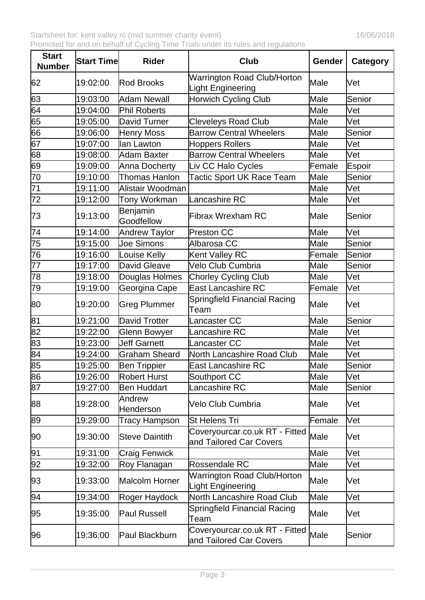| <b>Start</b><br><b>Number</b> | <b>Start Time</b> | <b>Rider</b>           | <b>Club</b>                                               | <b>Gender</b> | <b>Category</b> |
|-------------------------------|-------------------|------------------------|-----------------------------------------------------------|---------------|-----------------|
| 62                            | 19:02:00          | <b>Rod Brooks</b>      | <b>Warrington Road Club/Horton</b><br>Light Engineering   | Male          | Vet             |
| 63                            | 19:03:00          | Adam Newall            | <b>Horwich Cycling Club</b>                               | Male          | Senior          |
| $\overline{64}$               | 19:04:00          | Phil Roberts           |                                                           | Male          | Vet             |
| 65                            | 19:05:00          | David Turner           | <b>Cleveleys Road Club</b>                                | Male          | Vet             |
| 66                            | 19:06:00          | Henry Moss             | <b>Barrow Central Wheelers</b>                            | Male          | Senior          |
| 67                            | 19:07:00          | lan Lawton             | <b>Hoppers Rollers</b>                                    | Male          | Vet             |
| 68                            | 19:08:00          | Adam Baxter            | <b>Barrow Central Wheelers</b>                            | Male          | Vet             |
| 69                            | 19:09:00          | Anna Docherty          | Liv CC Halo Cycles                                        | Female        | Espoir          |
| $\overline{70}$               | 19:10:00          | Thomas Hanlon          | <b>Tactic Sport UK Race Team</b>                          | Male          | Senior          |
| $\overline{71}$               | 19:11:00          | Alistair Woodman       |                                                           | Male          | Vet             |
| $\overline{72}$               | 19:12:00          | Tony Workman           | Lancashire RC                                             | Male          | Vet             |
| 73                            | 19:13:00          | Benjamin<br>Goodfellow | Fibrax Wrexham RC                                         | Male          | Senior          |
| 74                            | 19:14:00          | Andrew Taylor          | Preston CC                                                | Male          | Vet             |
| 75                            | 19:15:00          | <b>Joe Simons</b>      | Albarosa CC                                               | Male          | Senior          |
| 76                            | 19:16:00          | Louise Kelly           | Kent Valley RC                                            | Female        | Senior          |
| 77                            | 19:17:00          | David Gleave           | Velo Club Cumbria                                         | Male          | Senior          |
| 78                            | 19:18:00          | Douglas Holmes         | <b>Chorley Cycling Club</b>                               | Male          | Vet             |
| 79                            | 19:19:00          | Georgina Cape          | <b>East Lancashire RC</b>                                 | Female        | Vet             |
| 80                            | 19:20:00          | <b>Greg Plummer</b>    | Springfield Financial Racing<br>Team                      | Male          | Vet             |
| 81                            | 19:21:00          | David Trotter          | Lancaster CC                                              | Male          | Senior          |
| 82                            | 19:22:00          | Glenn Bowyer           | Lancashire RC                                             | Male          | Vet             |
| 83                            | 19:23:00          | <b>Jeff Garnett</b>    | <b>Lancaster CC</b>                                       | Male          | Vet             |
| 84                            | 19:24:00          | Graham Sheard          | North Lancashire Road Club                                | Male          | Vet             |
| 85                            | 19:25:00          | Ben Trippier           | <b>East Lancashire RC</b>                                 | Male          | Senior          |
| 86                            | 19:26:00          | <b>Robert Hurst</b>    | Southport CC                                              | Male          | Vet             |
| $\overline{87}$               | 19:27:00          | <b>Ben Huddart</b>     | Lancashire RC                                             | Male          | Senior          |
| 88                            | 19:28:00          | Andrew<br>Henderson    | Velo Club Cumbria                                         | Male          | Vet             |
| 89                            | 19:29:00          | <b>Tracy Hampson</b>   | <b>St Helens Tri</b>                                      | Female        | Vet             |
| 90                            | 19:30:00          | <b>Steve Daintith</b>  | Coveryourcar.co.uk RT - Fitted<br>and Tailored Car Covers | Male          | Vet             |
| 91                            | 19:31:00          | <b>Craig Fenwick</b>   |                                                           | Male          | Vet             |
| 92                            | 19:32:00          | Roy Flanagan           | Rossendale RC                                             | Male          | Vet             |
| 93                            | 19:33:00          | Malcolm Horner         | Warrington Road Club/Horton<br>Light Engineering          | Male          | Vet             |
| 94                            | 19:34:00          | Roger Haydock          | North Lancashire Road Club                                | Male          | Vet             |
| 95                            | 19:35:00          | Paul Russell           | Springfield Financial Racing<br>Team                      | Male          | Vet             |
| 96                            | 19:36:00          | Paul Blackburn         | Coveryourcar.co.uk RT - Fitted<br>and Tailored Car Covers | Male          | Senior          |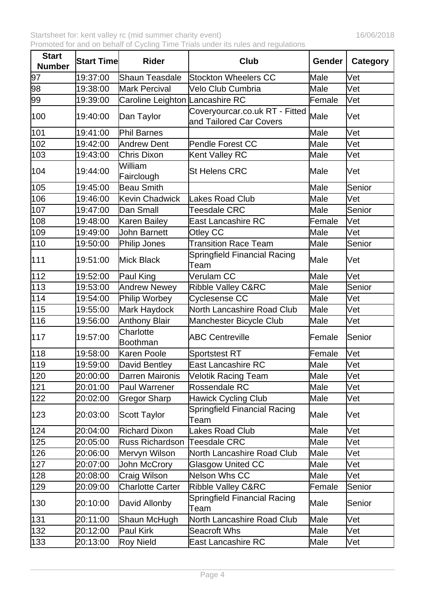| <b>Start</b><br><b>Number</b> | <b>Start Time</b> | <b>Rider</b>                    | Club                                                      | Gender | Category |
|-------------------------------|-------------------|---------------------------------|-----------------------------------------------------------|--------|----------|
| 97                            | 19:37:00          | Shaun Teasdale                  | <b>Stockton Wheelers CC</b>                               | Male   | Vet      |
| 98                            | 19:38:00          | Mark Percival                   | Velo Club Cumbria                                         | Male   | Vet      |
| 99                            | 19:39:00          | Caroline Leighton Lancashire RC |                                                           | Female | Vet      |
| 100                           | 19:40:00          | Dan Taylor                      | Coveryourcar.co.uk RT - Fitted<br>and Tailored Car Covers | Male   | Vet      |
| 101                           | 19:41:00          | Phil Barnes                     |                                                           | Male   | Vet      |
| 102                           | 19:42:00          | Andrew Dent                     | <b>Pendle Forest CC</b>                                   | Male   | Vet      |
| 103                           | 19:43:00          | Chris Dixon                     | Kent Valley RC                                            | Male   | Vet      |
| 104                           | 19:44:00          | William<br>Fairclough           | <b>St Helens CRC</b>                                      | Male   | Vet      |
| 105                           | 19:45:00          | Beau Smith                      |                                                           | Male   | Senior   |
| 106                           | 19:46:00          | Kevin Chadwick                  | Lakes Road Club                                           | Male   | Vet      |
| 107                           | 19:47:00          | Dan Small                       | Teesdale CRC                                              | Male   | Senior   |
| 108                           | 19:48:00          | Karen Bailey                    | East Lancashire RC                                        | Female | Vet      |
| 109                           | 19:49:00          | John Barnett                    | Otley CC                                                  | Male   | Vet      |
| 110                           | 19:50:00          | Philip Jones                    | <b>Transition Race Team</b>                               | Male   | Senior   |
| 111                           | 19:51:00          | Mick Black                      | <b>Springfield Financial Racing</b><br>Team               | Male   | Vet      |
| 112                           | 19:52:00          | Paul King                       | Verulam CC                                                | Male   | Vet      |
| 113                           | 19:53:00          | Andrew Newey                    | <b>Ribble Valley C&amp;RC</b>                             | Male   | Senior   |
| 114                           | 19:54:00          | Philip Worbey                   | Cyclesense CC                                             | Male   | Vet      |
| 115                           | 19:55:00          | Mark Haydock                    | <b>North Lancashire Road Club</b>                         | Male   | Vet      |
| 116                           | 19:56:00          | Anthony Blair                   | Manchester Bicycle Club                                   | Male   | Vet      |
| 117                           | 19:57:00          | Charlotte<br>Boothman           | <b>ABC Centreville</b>                                    | Female | Senior   |
| 118                           | 19:58:00          | Karen Poole                     | <b>Sportstest RT</b>                                      | Female | Vet      |
| 119                           | 19:59:00          | David Bentley                   | <b>East Lancashire RC</b>                                 | Male   | Vet      |
| 120                           | 20:00:00          | Darren Maironis                 | <b>Velotik Racing Team</b>                                | Male   | Vet      |
| 121                           | 20:01:00          | Paul Warrener                   | Rossendale RC                                             | Male   | Vet      |
| 122                           | 20:02:00          | Gregor Sharp                    | <b>Hawick Cycling Club</b>                                | Male   | Vet      |
| 123                           | 20:03:00          | Scott Taylor                    | Springfield Financial Racing<br>Team                      | Male   | Vet      |
| 124                           | 20:04:00          | Richard Dixon                   | Lakes Road Club                                           | Male   | Vet      |
| 125                           | 20:05:00          | Russ Richardson                 | <b>Teesdale CRC</b>                                       | Male   | Vet      |
| 126                           | 20:06:00          | Mervyn Wilson                   | North Lancashire Road Club                                | Male   | Vet      |
| 127                           | 20:07:00          | John McCrory                    | Glasgow United CC                                         | Male   | Vet      |
| 128                           | 20:08:00          | Craig Wilson                    | Nelson Whs CC                                             | Male   | Vet      |
| 129                           | 20:09:00          | <b>Charlotte Carter</b>         | <b>Ribble Valley C&amp;RC</b>                             | Female | Senior   |
| 130                           | 20:10:00          | David Allonby                   | <b>Springfield Financial Racing</b><br>Team               | Male   | Senior   |
| 131                           | 20:11:00          | Shaun McHugh                    | North Lancashire Road Club                                | Male   | Vet      |
| 132                           | 20:12:00          | Paul Kirk                       | Seacroft Whs                                              | Male   | Vet      |
| 133                           | 20:13:00          | <b>Roy Nield</b>                | East Lancashire RC                                        | Male   | Vet      |